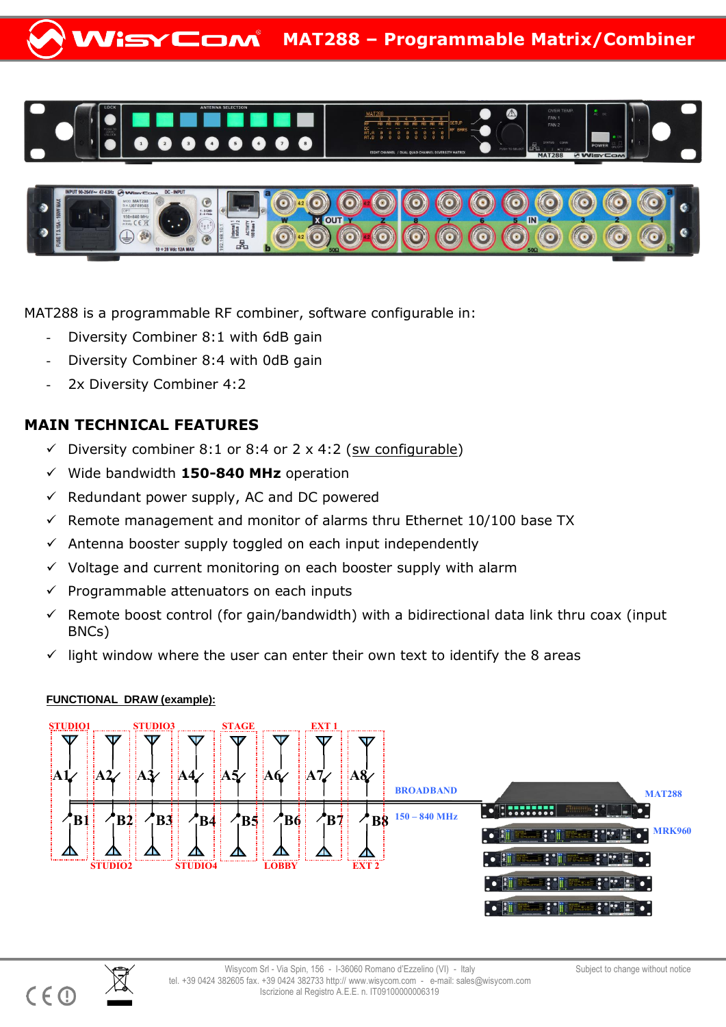





MAT288 is a programmable RF combiner, software configurable in:

- Diversity Combiner 8:1 with 6dB gain
- Diversity Combiner 8:4 with 0dB gain
- 2x Diversity Combiner 4:2

## **MAIN TECHNICAL FEATURES**

- $\checkmark$  Diversity combiner 8:1 or 8:4 or 2 x 4:2 (sw configurable)
- Wide bandwidth **150-840 MHz** operation
- $\checkmark$  Redundant power supply, AC and DC powered
- $\checkmark$  Remote management and monitor of alarms thru Ethernet 10/100 base TX
- $\checkmark$  Antenna booster supply toggled on each input independently
- $\checkmark$  Voltage and current monitoring on each booster supply with alarm
- $\checkmark$  Programmable attenuators on each inputs
- $\checkmark$  Remote boost control (for gain/bandwidth) with a bidirectional data link thru coax (input BNCs)
- $\checkmark$  light window where the user can enter their own text to identify the 8 areas

## **FUNCTIONAL DRAW (example):**



![](_page_0_Picture_19.jpeg)

 $C \in \mathbb{C}$